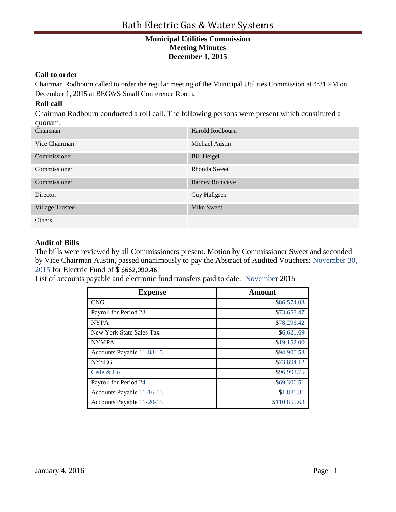#### **Call to order**

Chairman Rodbourn called to order the regular meeting of the Municipal Utilities Commission at 4:31 PM on December 1, 2015 at BEGWS Small Conference Room.

### **Roll call**

Chairman Rodbourn conducted a roll call. The following persons were present which constituted a quorum:

| $\blacksquare$<br>Chairman | Harold Rodbourn        |
|----------------------------|------------------------|
| Vice Chairman              | Michael Austin         |
| Commissioner               | <b>Bill Heigel</b>     |
| Commissioner               | Rhonda Sweet           |
| Commissioner               | <b>Barney Bonicave</b> |
| Director                   | Guy Hallgren           |
| <b>Village Trustee</b>     | Mike Sweet             |
| Others                     |                        |

#### **Audit of Bills**

The bills were reviewed by all Commissioners present. Motion by Commissioner Sweet and seconded by Vice Chairman Austin, passed unanimously to pay the Abstract of Audited Vouchers: November 30, 2015 for Electric Fund of \$ \$662,090.46.

List of accounts payable and electronic fund transfers paid to date: November 2015

| <b>Expense</b>            | Amount       |
|---------------------------|--------------|
| <b>CNG</b>                | \$86,574.03  |
| Payroll for Period 23     | \$73,658.47  |
| <b>NYPA</b>               | \$78,296.42  |
| New York State Sales Tax  | \$6,621.69   |
| <b>NYMPA</b>              | \$19,152.00  |
| Accounts Payable 11-03-15 | \$94,906.53  |
| <b>NYSEG</b>              | \$23,894.12  |
| Cede & Co                 | \$96,993.75  |
| Payroll for Period 24     | \$69,306.51  |
| Accounts Payable 11-16-15 | \$1,831.31   |
| Accounts Payable 11-20-15 | \$110,855.63 |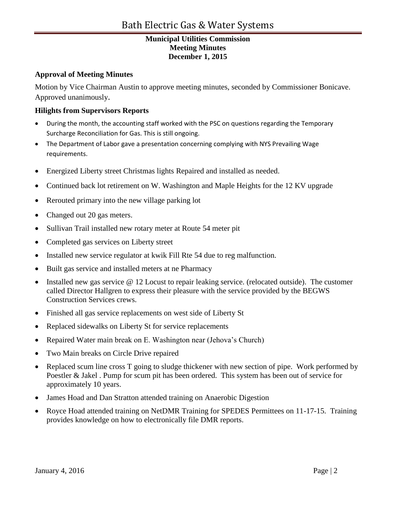### **Approval of Meeting Minutes**

Motion by Vice Chairman Austin to approve meeting minutes, seconded by Commissioner Bonicave. Approved unanimously.

### **Hilights from Supervisors Reports**

- During the month, the accounting staff worked with the PSC on questions regarding the Temporary Surcharge Reconciliation for Gas. This is still ongoing.
- The Department of Labor gave a presentation concerning complying with NYS Prevailing Wage requirements.
- Energized Liberty street Christmas lights Repaired and installed as needed.
- Continued back lot retirement on W. Washington and Maple Heights for the 12 KV upgrade
- Rerouted primary into the new village parking lot
- Changed out 20 gas meters.
- Sullivan Trail installed new rotary meter at Route 54 meter pit
- Completed gas services on Liberty street
- Installed new service regulator at kwik Fill Rte 54 due to reg malfunction.
- Built gas service and installed meters at ne Pharmacy
- Installed new gas service @ 12 Locust to repair leaking service. (relocated outside). The customer called Director Hallgren to express their pleasure with the service provided by the BEGWS Construction Services crews.
- Finished all gas service replacements on west side of Liberty St
- Replaced sidewalks on Liberty St for service replacements
- Repaired Water main break on E. Washington near (Jehova's Church)
- Two Main breaks on Circle Drive repaired
- Replaced scum line cross T going to sludge thickener with new section of pipe. Work performed by Poestler & Jakel . Pump for scum pit has been ordered. This system has been out of service for approximately 10 years.
- James Hoad and Dan Stratton attended training on Anaerobic Digestion
- Royce Hoad attended training on NetDMR Training for SPEDES Permittees on 11-17-15. Training provides knowledge on how to electronically file DMR reports.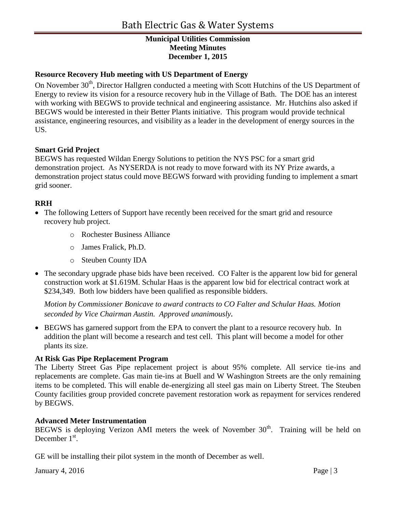### **Resource Recovery Hub meeting with US Department of Energy**

On November 30<sup>th</sup>, Director Hallgren conducted a meeting with Scott Hutchins of the US Department of Energy to review its vision for a resource recovery hub in the Village of Bath. The DOE has an interest with working with BEGWS to provide technical and engineering assistance. Mr. Hutchins also asked if BEGWS would be interested in their Better Plants initiative. This program would provide technical assistance, engineering resources, and visibility as a leader in the development of energy sources in the US.

#### **Smart Grid Project**

BEGWS has requested Wildan Energy Solutions to petition the NYS PSC for a smart grid demonstration project. As NYSERDA is not ready to move forward with its NY Prize awards, a demonstration project status could move BEGWS forward with providing funding to implement a smart grid sooner.

### **RRH**

- The following Letters of Support have recently been received for the smart grid and resource recovery hub project.
	- o Rochester Business Alliance
	- o James Fralick, Ph.D.
	- o Steuben County IDA
- The secondary upgrade phase bids have been received. CO Falter is the apparent low bid for general construction work at \$1.619M. Schular Haas is the apparent low bid for electrical contract work at \$234,349. Both low bidders have been qualified as responsible bidders.

*Motion by Commissioner Bonicave to award contracts to CO Falter and Schular Haas. Motion seconded by Vice Chairman Austin. Approved unanimously.* 

• BEGWS has garnered support from the EPA to convert the plant to a resource recovery hub. In addition the plant will become a research and test cell. This plant will become a model for other plants its size.

#### **At Risk Gas Pipe Replacement Program**

The Liberty Street Gas Pipe replacement project is about 95% complete. All service tie-ins and replacements are complete. Gas main tie-ins at Buell and W Washington Streets are the only remaining items to be completed. This will enable de-energizing all steel gas main on Liberty Street. The Steuben County facilities group provided concrete pavement restoration work as repayment for services rendered by BEGWS.

#### **Advanced Meter Instrumentation**

BEGWS is deploying Verizon AMI meters the week of November  $30<sup>th</sup>$ . Training will be held on December  $1<sup>st</sup>$ .

GE will be installing their pilot system in the month of December as well.

January 4, 2016  $\qquad \qquad$  Page | 3